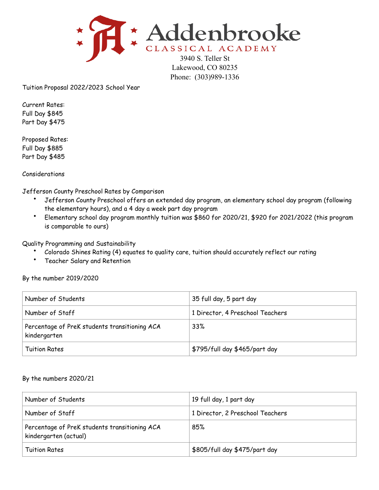

Lakewood, CO 80235 Phone: (303)989-1336

Tuition Proposal 2022/2023 School Year

Current Rates: Full Day \$845 Part Day \$475

Proposed Rates: Full Day \$885 Part Day \$485

Considerations

Jefferson County Preschool Rates by Comparison

- Jefferson County Preschool offers an extended day program, an elementary school day program (following the elementary hours), and a 4 day a week part day program
- Elementary school day program monthly tuition was \$860 for 2020/21, \$920 for 2021/2022 (this program is comparable to ours)

Quality Programming and Sustainability

- Colorado Shines Rating (4) equates to quality care, tuition should accurately reflect our rating
- Teacher Salary and Retention

By the number 2019/2020

| Number of Students                                            | 35 full day, 5 part day          |
|---------------------------------------------------------------|----------------------------------|
| Number of Staff                                               | 1 Director, 4 Preschool Teachers |
| Percentage of PreK students transitioning ACA<br>kindergarten | 33%                              |
| <b>Tuition Rates</b>                                          | \$795/full day \$465/part day    |

## By the numbers 2020/21

| Number of Students                                                     | 19 full day, 1 part day          |
|------------------------------------------------------------------------|----------------------------------|
| Number of Staff                                                        | 1 Director, 2 Preschool Teachers |
| Percentage of PreK students transitioning ACA<br>kindergarten (actual) | 85%                              |
| <b>Tuition Rates</b>                                                   | \$805/full day \$475/part day    |